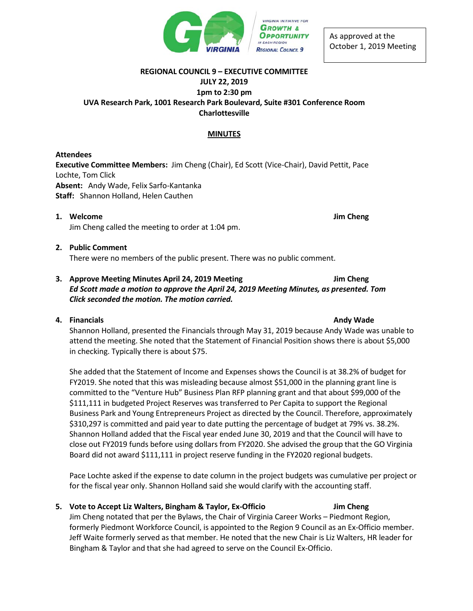

As approved at the October 1, 2019 Meeting

#### **REGIONAL COUNCIL 9 – EXECUTIVE COMMITTEE**

# **JULY 22, 2019**

## **1pm to 2:30 pm UVA Research Park, 1001 Research Park Boulevard, Suite #301 Conference Room Charlottesville**

## **MINUTES**

## **Attendees**

**Executive Committee Members:** Jim Cheng (Chair), Ed Scott (Vice-Chair), David Pettit, Pace Lochte, Tom Click **Absent:** Andy Wade, Felix Sarfo-Kantanka **Staff:** Shannon Holland, Helen Cauthen

**1. Welcome Jim Cheng** Jim Cheng called the meeting to order at 1:04 pm.

# **2. Public Comment** There were no members of the public present. There was no public comment.

## **3. Approve Meeting Minutes April 24, 2019 Meeting Jim Cheng** *Ed Scott made a motion to approve the April 24, 2019 Meeting Minutes, as presented. Tom Click seconded the motion. The motion carried.*

# **4. Financials Andy Wade**

Shannon Holland, presented the Financials through May 31, 2019 because Andy Wade was unable to attend the meeting. She noted that the Statement of Financial Position shows there is about \$5,000 in checking. Typically there is about \$75.

She added that the Statement of Income and Expenses shows the Council is at 38.2% of budget for FY2019. She noted that this was misleading because almost \$51,000 in the planning grant line is committed to the "Venture Hub" Business Plan RFP planning grant and that about \$99,000 of the \$111,111 in budgeted Project Reserves was transferred to Per Capita to support the Regional Business Park and Young Entrepreneurs Project as directed by the Council. Therefore, approximately \$310,297 is committed and paid year to date putting the percentage of budget at 79% vs. 38.2%. Shannon Holland added that the Fiscal year ended June 30, 2019 and that the Council will have to close out FY2019 funds before using dollars from FY2020. She advised the group that the GO Virginia Board did not award \$111,111 in project reserve funding in the FY2020 regional budgets.

Pace Lochte asked if the expense to date column in the project budgets was cumulative per project or for the fiscal year only. Shannon Holland said she would clarify with the accounting staff.

# **5. Vote to Accept Liz Walters, Bingham & Taylor, Ex-Officio Jim Cheng**

Jim Cheng notated that per the Bylaws, the Chair of Virginia Career Works – Piedmont Region, formerly Piedmont Workforce Council, is appointed to the Region 9 Council as an Ex-Officio member. Jeff Waite formerly served as that member. He noted that the new Chair is Liz Walters, HR leader for Bingham & Taylor and that she had agreed to serve on the Council Ex-Officio.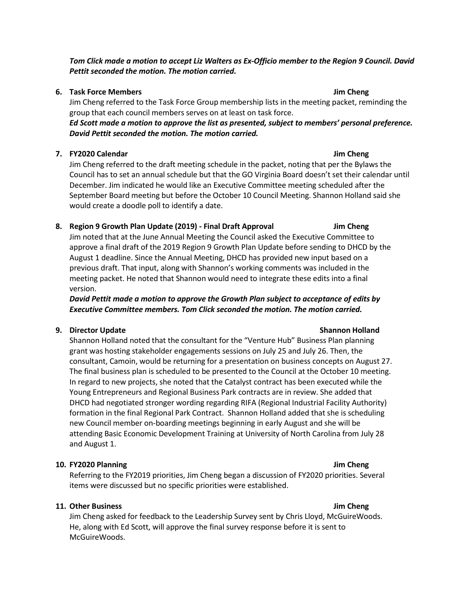*Tom Click made a motion to accept Liz Walters as Ex-Officio member to the Region 9 Council. David Pettit seconded the motion. The motion carried.* 

### **6. Task Force Members Jim Cheng**

Jim Cheng referred to the Task Force Group membership lists in the meeting packet, reminding the group that each council members serves on at least on task force.

*Ed Scott made a motion to approve the list as presented, subject to members' personal preference. David Pettit seconded the motion. The motion carried.* 

### **7. FY2020 Calendar Jim Cheng**

Jim Cheng referred to the draft meeting schedule in the packet, noting that per the Bylaws the Council has to set an annual schedule but that the GO Virginia Board doesn't set their calendar until December. Jim indicated he would like an Executive Committee meeting scheduled after the September Board meeting but before the October 10 Council Meeting. Shannon Holland said she would create a doodle poll to identify a date.

### **8. Region 9 Growth Plan Update (2019) - Final Draft Approval Jim Cheng**

Jim noted that at the June Annual Meeting the Council asked the Executive Committee to approve a final draft of the 2019 Region 9 Growth Plan Update before sending to DHCD by the August 1 deadline. Since the Annual Meeting, DHCD has provided new input based on a previous draft. That input, along with Shannon's working comments was included in the meeting packet. He noted that Shannon would need to integrate these edits into a final version.

*David Pettit made a motion to approve the Growth Plan subject to acceptance of edits by Executive Committee members. Tom Click seconded the motion. The motion carried.* 

#### **9. Director Update Shannon Holland**

Shannon Holland noted that the consultant for the "Venture Hub" Business Plan planning grant was hosting stakeholder engagements sessions on July 25 and July 26. Then, the consultant, Camoin, would be returning for a presentation on business concepts on August 27. The final business plan is scheduled to be presented to the Council at the October 10 meeting. In regard to new projects, she noted that the Catalyst contract has been executed while the Young Entrepreneurs and Regional Business Park contracts are in review. She added that DHCD had negotiated stronger wording regarding RIFA (Regional Industrial Facility Authority) formation in the final Regional Park Contract. Shannon Holland added that she is scheduling new Council member on-boarding meetings beginning in early August and she will be attending Basic Economic Development Training at University of North Carolina from July 28 and August 1.

#### **10. FY2020 Planning Jim Cheng**

Referring to the FY2019 priorities, Jim Cheng began a discussion of FY2020 priorities. Several items were discussed but no specific priorities were established.

### **11. Other Business Jim Cheng**

Jim Cheng asked for feedback to the Leadership Survey sent by Chris Lloyd, McGuireWoods. He, along with Ed Scott, will approve the final survey response before it is sent to McGuireWoods.